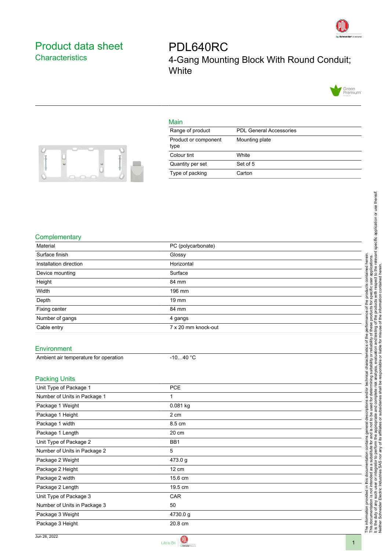

## <span id="page-0-0"></span>Product data sheet **Characteristics**

PDL640RC 4-Gang Mounting Block With Round Conduit; **White** 



## Main

| Range of product             | <b>PDL General Accessories</b> |
|------------------------------|--------------------------------|
| Product or component<br>type | Mounting plate                 |
| Colour tint                  | White                          |
| Quantity per set             | Set of 5                       |
| Type of packing              | Carton                         |



U<br>0

|                                       |                     | specific application or use thereof.                                                                                                                               |  |
|---------------------------------------|---------------------|--------------------------------------------------------------------------------------------------------------------------------------------------------------------|--|
|                                       |                     |                                                                                                                                                                    |  |
| Complementary                         |                     |                                                                                                                                                                    |  |
| Material                              | PC (polycarbonate)  |                                                                                                                                                                    |  |
| Surface finish                        | Glossy              |                                                                                                                                                                    |  |
| Installation direction                | Horizontal          | the relevant<br>herein.                                                                                                                                            |  |
| Device mounting                       | Surface             | contained<br>herei<br>apli<br>to th                                                                                                                                |  |
| Height                                | 84 mm               | contained                                                                                                                                                          |  |
| Width                                 | 196 mm              | with respect                                                                                                                                                       |  |
| Depth                                 | 19 mm               |                                                                                                                                                                    |  |
| Fixing center                         | 84 mm               | informati<br>prod                                                                                                                                                  |  |
| Number of gangs                       | 4 gangs             | ₽<br>of th                                                                                                                                                         |  |
| Cable entry                           | 7 x 20 mm knock-out | ৳                                                                                                                                                                  |  |
|                                       |                     | I testing<br>misuse<br>৳<br>the                                                                                                                                    |  |
| Environment                           |                     | and<br>liable for<br>৳                                                                                                                                             |  |
| Ambient air temperature for operation | $-1040 °C$          | ā<br>ŏ                                                                                                                                                             |  |
|                                       |                     | tabili                                                                                                                                                             |  |
|                                       |                     | ৳                                                                                                                                                                  |  |
| <b>Packing Units</b>                  |                     | technical                                                                                                                                                          |  |
| Unit Type of Package 1                | <b>PCE</b>          | ഉ<br>Φ                                                                                                                                                             |  |
| Number of Units in Package 1          | 1                   |                                                                                                                                                                    |  |
| Package 1 Weight                      | 0.081 kg            |                                                                                                                                                                    |  |
| Package 1 Height                      | 2 cm                | Φ<br>č                                                                                                                                                             |  |
| Package 1 width                       | 8.5 cm              | ᠊ᢛ                                                                                                                                                                 |  |
| Package 1 Length                      | 20 cm               | affi.                                                                                                                                                              |  |
| Unit Type of Package 2                | BB1                 | ď<br>ω                                                                                                                                                             |  |
| Number of Units in Package 2          | 5                   | perform                                                                                                                                                            |  |
| Package 2 Weight                      | 473.0 g             | SAS <sub>no</sub><br>$\mathsf{S}$<br>ল                                                                                                                             |  |
| Package 2 Height                      | 12 cm               |                                                                                                                                                                    |  |
| Package 2 width                       | 15.6 cm             |                                                                                                                                                                    |  |
| Package 2 Length                      | 19.5 cm             | The information provided in this docu<br>This documentation is not intended a<br>It is the duty of any such user or integ<br>Neither Schneider Electric Industries |  |
| Unit Type of Package 3                | CAR                 |                                                                                                                                                                    |  |
| Number of Units in Package 3          | 50                  |                                                                                                                                                                    |  |
| Package 3 Weight                      | 4730.0g             |                                                                                                                                                                    |  |
| Package 3 Height                      | 20.8 cm             |                                                                                                                                                                    |  |
|                                       |                     |                                                                                                                                                                    |  |



1